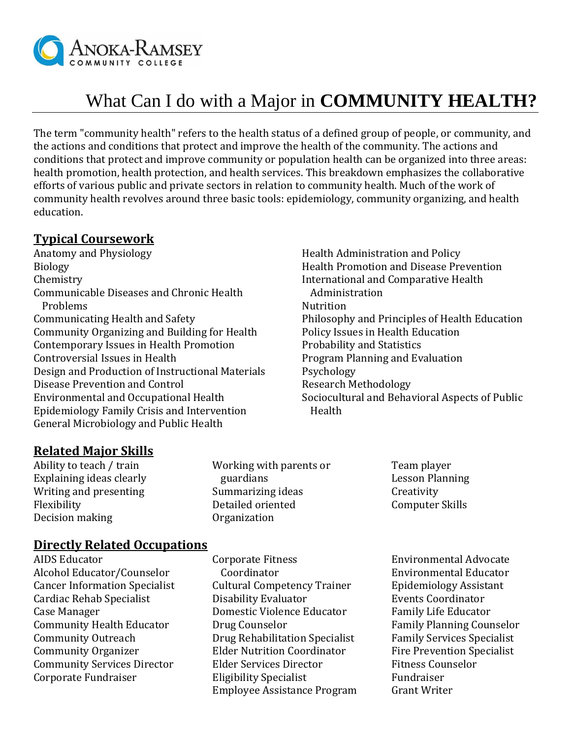

# What Can I do with a Major in **COMMUNITY HEALTH?**

The term "community health" refers to the health status of a defined group of people, or community, and the actions and conditions that protect and improve the health of the community. The actions and conditions that protect and improve community or population health can be organized into three areas: health promotion, health protection, and health services. This breakdown emphasizes the collaborative efforts of various public and private sectors in relation to community health. Much of the work of community health revolves around three basic tools: epidemiology, community organizing, and health education.

## **Typical Coursework**

Anatomy and Physiology Biology Chemistry Communicable Diseases and Chronic Health Problems Communicating Health and Safety Community Organizing and Building for Health Contemporary Issues in Health Promotion Controversial Issues in Health Design and Production of Instructional Materials Disease Prevention and Control Environmental and Occupational Health Epidemiology Family Crisis and Intervention General Microbiology and Public Health

Health Administration and Policy Health Promotion and Disease Prevention International and Comparative Health Administration **Nutrition** Philosophy and Principles of Health Education Policy Issues in Health Education Probability and Statistics Program Planning and Evaluation Psychology Research Methodology Sociocultural and Behavioral Aspects of Public Health

#### **Related Major Skills**

Ability to teach / train Explaining ideas clearly Writing and presenting Flexibility Decision making

Working with parents or guardians Summarizing ideas Detailed oriented Organization

Team player Lesson Planning **Creativity** Computer Skills

#### **Directly Related Occupations**

AIDS Educator Alcohol Educator/Counselor Cancer Information Specialist Cardiac Rehab Specialist Case Manager Community Health Educator Community Outreach Community Organizer Community Services Director Corporate Fundraiser

Corporate Fitness Coordinator Cultural Competency Trainer Disability Evaluator Domestic Violence Educator Drug Counselor Drug Rehabilitation Specialist Elder Nutrition Coordinator Elder Services Director Eligibility Specialist Employee Assistance Program

Environmental Advocate Environmental Educator Epidemiology Assistant Events Coordinator Family Life Educator Family Planning Counselor Family Services Specialist Fire Prevention Specialist Fitness Counselor Fundraiser Grant Writer